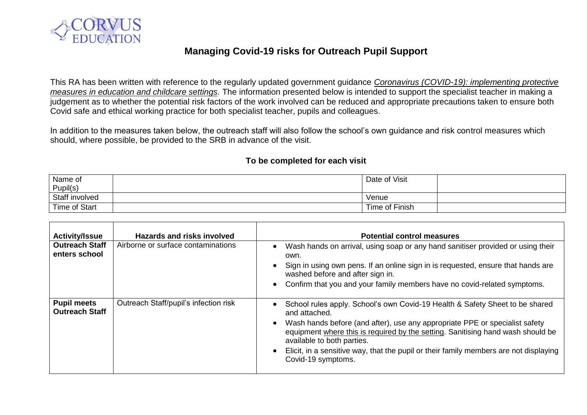

## **Managing Covid-19 risks for Outreach Pupil Support**

This RA has been written with reference to the regularly updated government guidance *[Coronavirus \(COVID-19\): implementing protective](https://www.gov.uk/government/publications/coronavirus-covid-19-implementing-protective-measures-in-education-and-childcare-settings/coronavirus-covid-19-implementing-protective-measures-in-education-and-childcare-settings)  [measures in education and childcare settings.](https://www.gov.uk/government/publications/coronavirus-covid-19-implementing-protective-measures-in-education-and-childcare-settings/coronavirus-covid-19-implementing-protective-measures-in-education-and-childcare-settings)* The information presented below is intended to support the specialist teacher in making a judgement as to whether the potential risk factors of the work involved can be reduced and appropriate precautions taken to ensure both Covid safe and ethical working practice for both specialist teacher, pupils and colleagues.

In addition to the measures taken below, the outreach staff will also follow the school's own guidance and risk control measures which should, where possible, be provided to the SRB in advance of the visit.

## **To be completed for each visit**

| Name of              | Date of Visit  |  |
|----------------------|----------------|--|
| Pupil(s)             |                |  |
| Staff involved       | Venue          |  |
| <b>Time of Start</b> | Time of Finish |  |

| <b>Activity/Issue</b>                       | <b>Hazards and risks involved</b>     | <b>Potential control measures</b>                                                                                                                                                                                                                                                                                                                                                                            |
|---------------------------------------------|---------------------------------------|--------------------------------------------------------------------------------------------------------------------------------------------------------------------------------------------------------------------------------------------------------------------------------------------------------------------------------------------------------------------------------------------------------------|
| <b>Outreach Staff</b><br>enters school      | Airborne or surface contaminations    | Wash hands on arrival, using soap or any hand sanitiser provided or using their<br>own.<br>Sign in using own pens. If an online sign in is requested, ensure that hands are<br>washed before and after sign in.                                                                                                                                                                                              |
|                                             |                                       | Confirm that you and your family members have no covid-related symptoms.                                                                                                                                                                                                                                                                                                                                     |
| <b>Pupil meets</b><br><b>Outreach Staff</b> | Outreach Staff/pupil's infection risk | School rules apply. School's own Covid-19 Health & Safety Sheet to be shared<br>and attached.<br>Wash hands before (and after), use any appropriate PPE or specialist safety<br>equipment where this is required by the setting. Sanitising hand wash should be<br>available to both parties.<br>Elicit, in a sensitive way, that the pupil or their family members are not displaying<br>Covid-19 symptoms. |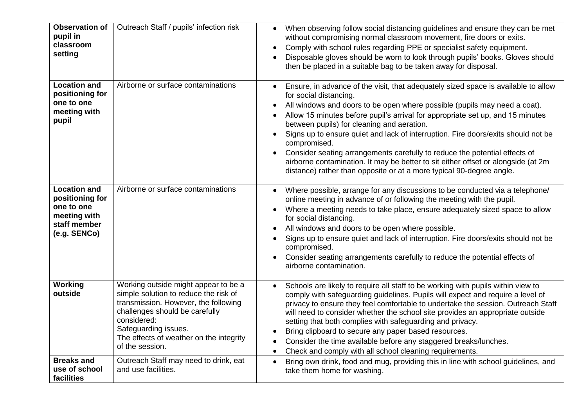| <b>Observation of</b><br>pupil in<br>classroom<br>setting                                            | Outreach Staff / pupils' infection risk                                                                                                                                                                                                                      | When observing follow social distancing guidelines and ensure they can be met<br>$\bullet$<br>without compromising normal classroom movement, fire doors or exits.<br>Comply with school rules regarding PPE or specialist safety equipment.<br>Disposable gloves should be worn to look through pupils' books. Gloves should<br>then be placed in a suitable bag to be taken away for disposal.                                                                                                                                                                                                                                                                                       |
|------------------------------------------------------------------------------------------------------|--------------------------------------------------------------------------------------------------------------------------------------------------------------------------------------------------------------------------------------------------------------|----------------------------------------------------------------------------------------------------------------------------------------------------------------------------------------------------------------------------------------------------------------------------------------------------------------------------------------------------------------------------------------------------------------------------------------------------------------------------------------------------------------------------------------------------------------------------------------------------------------------------------------------------------------------------------------|
| <b>Location and</b><br>positioning for<br>one to one<br>meeting with<br>pupil                        | Airborne or surface contaminations                                                                                                                                                                                                                           | Ensure, in advance of the visit, that adequately sized space is available to allow<br>for social distancing.<br>All windows and doors to be open where possible (pupils may need a coat).<br>Allow 15 minutes before pupil's arrival for appropriate set up, and 15 minutes<br>between pupils) for cleaning and aeration.<br>Signs up to ensure quiet and lack of interruption. Fire doors/exits should not be<br>$\bullet$<br>compromised.<br>Consider seating arrangements carefully to reduce the potential effects of<br>airborne contamination. It may be better to sit either offset or alongside (at 2m<br>distance) rather than opposite or at a more typical 90-degree angle. |
| <b>Location and</b><br>positioning for<br>one to one<br>meeting with<br>staff member<br>(e.g. SENCo) | Airborne or surface contaminations                                                                                                                                                                                                                           | Where possible, arrange for any discussions to be conducted via a telephone/<br>online meeting in advance of or following the meeting with the pupil.<br>Where a meeting needs to take place, ensure adequately sized space to allow<br>$\bullet$<br>for social distancing.<br>All windows and doors to be open where possible.<br>Signs up to ensure quiet and lack of interruption. Fire doors/exits should not be<br>compromised.<br>Consider seating arrangements carefully to reduce the potential effects of<br>airborne contamination.                                                                                                                                          |
| Working<br>outside<br><b>Breaks and</b>                                                              | Working outside might appear to be a<br>simple solution to reduce the risk of<br>transmission. However, the following<br>challenges should be carefully<br>considered:<br>Safeguarding issues.<br>The effects of weather on the integrity<br>of the session. | Schools are likely to require all staff to be working with pupils within view to<br>$\bullet$<br>comply with safeguarding guidelines. Pupils will expect and require a level of<br>privacy to ensure they feel comfortable to undertake the session. Outreach Staff<br>will need to consider whether the school site provides an appropriate outside<br>setting that both complies with safeguarding and privacy.<br>Bring clipboard to secure any paper based resources.<br>Consider the time available before any staggered breaks/lunches.<br>Check and comply with all school cleaning requirements.<br>$\bullet$                                                                  |
| use of school<br>facilities                                                                          | Outreach Staff may need to drink, eat<br>and use facilities.                                                                                                                                                                                                 | Bring own drink, food and mug, providing this in line with school guidelines, and<br>$\bullet$<br>take them home for washing.                                                                                                                                                                                                                                                                                                                                                                                                                                                                                                                                                          |